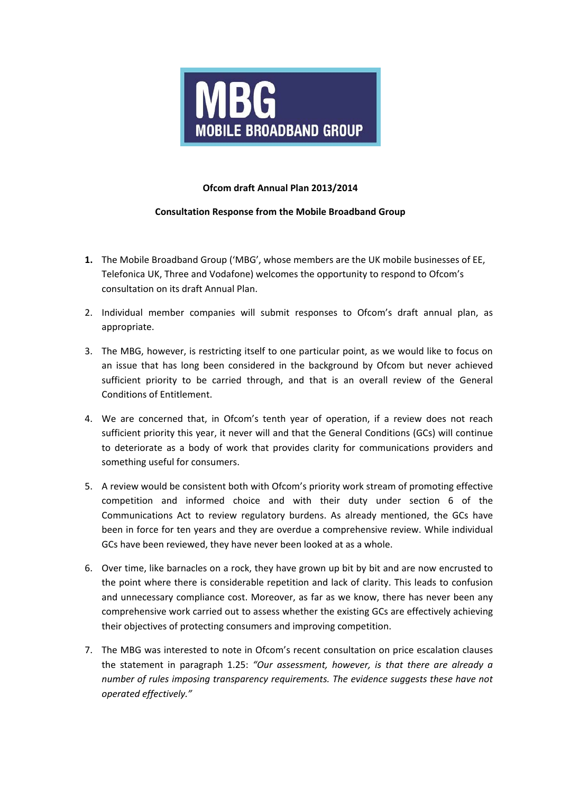

## **Ofcom draft Annual Plan 2013/2014**

## **Consultation Response from the Mobile Broadband Group**

- **1.** The Mobile Broadband Group ('MBG', whose members are the UK mobile businesses of EE, Telefonica UK, Three and Vodafone) welcomes the opportunity to respond to Ofcom's consultation on its draft Annual Plan.
- 2. Individual member companies will submit responses to Ofcom's draft annual plan, as appropriate.
- 3. The MBG, however, is restricting itself to one particular point, as we would like to focus on an issue that has long been considered in the background by Ofcom but never achieved sufficient priority to be carried through, and that is an overall review of the General Conditions of Entitlement.
- 4. We are concerned that, in Ofcom's tenth year of operation, if a review does not reach sufficient priority this year, it never will and that the General Conditions (GCs) will continue to deteriorate as a body of work that provides clarity for communications providers and something useful for consumers.
- 5. A review would be consistent both with Ofcom's priority work stream of promoting effective competition and informed choice and with their duty under section 6 of the Communications Act to review regulatory burdens. As already mentioned, the GCs have been in force for ten years and they are overdue a comprehensive review. While individual GCs have been reviewed, they have never been looked at as a whole.
- 6. Over time, like barnacles on a rock, they have grown up bit by bit and are now encrusted to the point where there is considerable repetition and lack of clarity. This leads to confusion and unnecessary compliance cost. Moreover, as far as we know, there has never been any comprehensive work carried out to assess whether the existing GCs are effectively achieving their objectives of protecting consumers and improving competition.
- 7. The MBG was interested to note in Ofcom's recent consultation on price escalation clauses the statement in paragraph 1.25: *"Our assessment, however, is that there are already a number of rules imposing transparency requirements. The evidence suggests these have not operated effectively."*